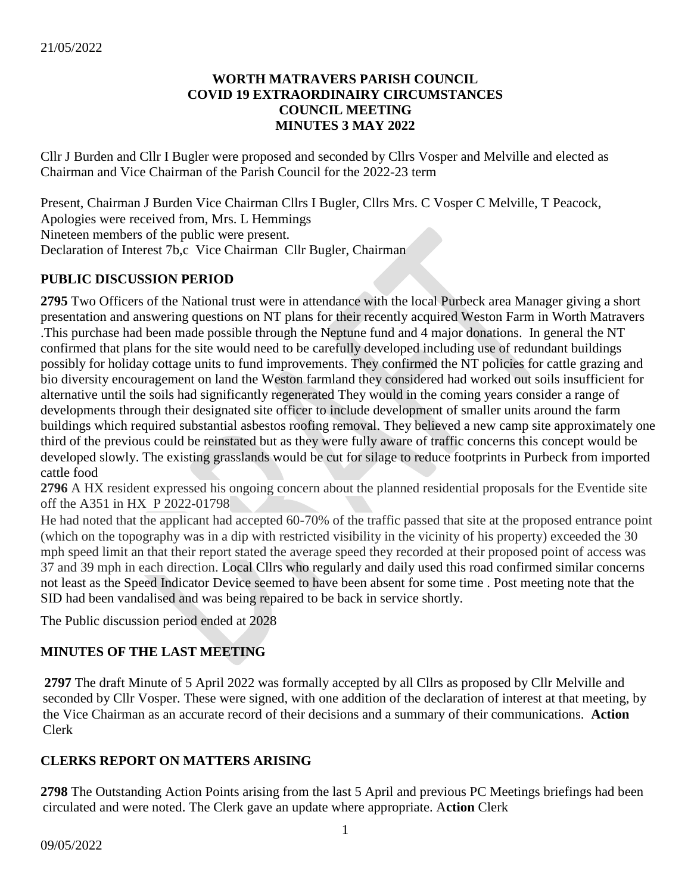### **WORTH MATRAVERS PARISH COUNCIL COVID 19 EXTRAORDINAIRY CIRCUMSTANCES COUNCIL MEETING MINUTES 3 MAY 2022**

Cllr J Burden and Cllr I Bugler were proposed and seconded by Cllrs Vosper and Melville and elected as Chairman and Vice Chairman of the Parish Council for the 2022-23 term

Present, Chairman J Burden Vice Chairman Cllrs I Bugler, Cllrs Mrs. C Vosper C Melville, T Peacock, Apologies were received from, Mrs. L Hemmings Nineteen members of the public were present. Declaration of Interest 7b,c Vice Chairman Cllr Bugler, Chairman

# **PUBLIC DISCUSSION PERIOD**

**2795** Two Officers of the National trust were in attendance with the local Purbeck area Manager giving a short presentation and answering questions on NT plans for their recently acquired Weston Farm in Worth Matravers .This purchase had been made possible through the Neptune fund and 4 major donations. In general the NT confirmed that plans for the site would need to be carefully developed including use of redundant buildings possibly for holiday cottage units to fund improvements. They confirmed the NT policies for cattle grazing and bio diversity encouragement on land the Weston farmland they considered had worked out soils insufficient for alternative until the soils had significantly regenerated They would in the coming years consider a range of developments through their designated site officer to include development of smaller units around the farm buildings which required substantial asbestos roofing removal. They believed a new camp site approximately one third of the previous could be reinstated but as they were fully aware of traffic concerns this concept would be developed slowly. The existing grasslands would be cut for silage to reduce footprints in Purbeck from imported cattle food

**2796** A HX resident expressed his ongoing concern about the planned residential proposals for the Eventide site off the A351 in HX P 2022-01798

He had noted that the applicant had accepted 60-70% of the traffic passed that site at the proposed entrance point (which on the topography was in a dip with restricted visibility in the vicinity of his property) exceeded the 30 mph speed limit an that their report stated the average speed they recorded at their proposed point of access was 37 and 39 mph in each direction. Local Cllrs who regularly and daily used this road confirmed similar concerns not least as the Speed Indicator Device seemed to have been absent for some time . Post meeting note that the SID had been vandalised and was being repaired to be back in service shortly.

The Public discussion period ended at 2028

# **MINUTES OF THE LAST MEETING**

 **2797** The draft Minute of 5 April 2022 was formally accepted by all Cllrs as proposed by Cllr Melville and seconded by Cllr Vosper. These were signed, with one addition of the declaration of interest at that meeting, by the Vice Chairman as an accurate record of their decisions and a summary of their communications. **Action** Clerk

# **CLERKS REPORT ON MATTERS ARISING**

**2798** The Outstanding Action Points arising from the last 5 April and previous PC Meetings briefings had been circulated and were noted. The Clerk gave an update where appropriate. A**ction** Clerk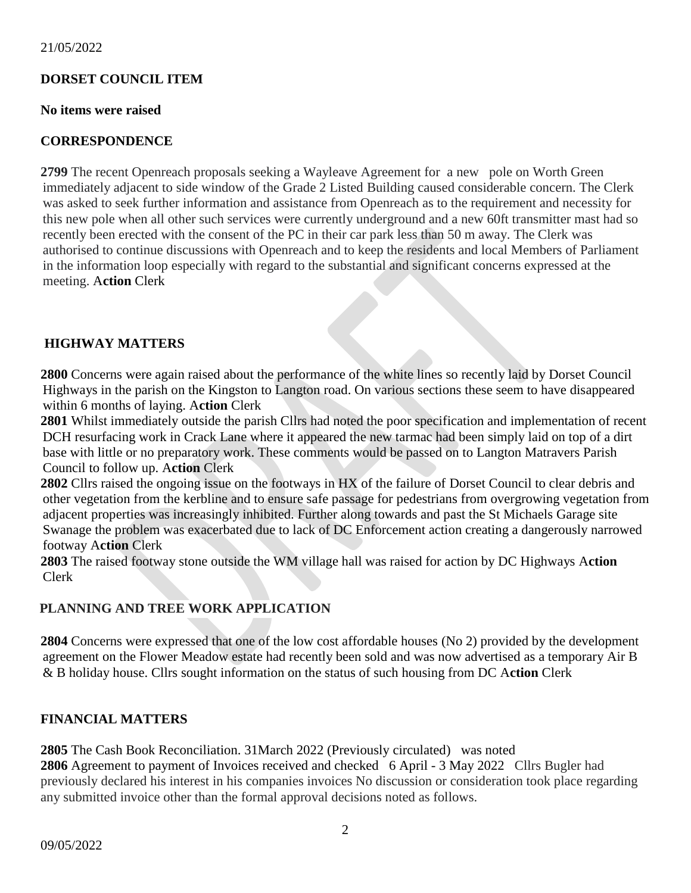## **DORSET COUNCIL ITEM**

#### **No items were raised**

### **CORRESPONDENCE**

**2799** The recent Openreach proposals seeking a Wayleave Agreement for a new pole on Worth Green immediately adjacent to side window of the Grade 2 Listed Building caused considerable concern. The Clerk was asked to seek further information and assistance from Openreach as to the requirement and necessity for this new pole when all other such services were currently underground and a new 60ft transmitter mast had so recently been erected with the consent of the PC in their car park less than 50 m away. The Clerk was authorised to continue discussions with Openreach and to keep the residents and local Members of Parliament in the information loop especially with regard to the substantial and significant concerns expressed at the meeting. A**ction** Clerk

### **HIGHWAY MATTERS**

**2800** Concerns were again raised about the performance of the white lines so recently laid by Dorset Council Highways in the parish on the Kingston to Langton road. On various sections these seem to have disappeared within 6 months of laying. A**ction** Clerk

**2801** Whilst immediately outside the parish Cllrs had noted the poor specification and implementation of recent DCH resurfacing work in Crack Lane where it appeared the new tarmac had been simply laid on top of a dirt base with little or no preparatory work. These comments would be passed on to Langton Matravers Parish Council to follow up. A**ction** Clerk

**2802** Cllrs raised the ongoing issue on the footways in HX of the failure of Dorset Council to clear debris and other vegetation from the kerbline and to ensure safe passage for pedestrians from overgrowing vegetation from adjacent properties was increasingly inhibited. Further along towards and past the St Michaels Garage site Swanage the problem was exacerbated due to lack of DC Enforcement action creating a dangerously narrowed footway A**ction** Clerk

**2803** The raised footway stone outside the WM village hall was raised for action by DC Highways A**ction** Clerk

# **PLANNING AND TREE WORK APPLICATION**

**2804** Concerns were expressed that one of the low cost affordable houses (No 2) provided by the development agreement on the Flower Meadow estate had recently been sold and was now advertised as a temporary Air B & B holiday house. Cllrs sought information on the status of such housing from DC A**ction** Clerk

# **FINANCIAL MATTERS**

**2805** The Cash Book Reconciliation. 31March 2022 (Previously circulated)was noted

**2806** Agreement to payment of Invoices received and checked 6 April - 3 May 2022Cllrs Bugler had previously declared his interest in his companies invoices No discussion or consideration took place regarding any submitted invoice other than the formal approval decisions noted as follows.